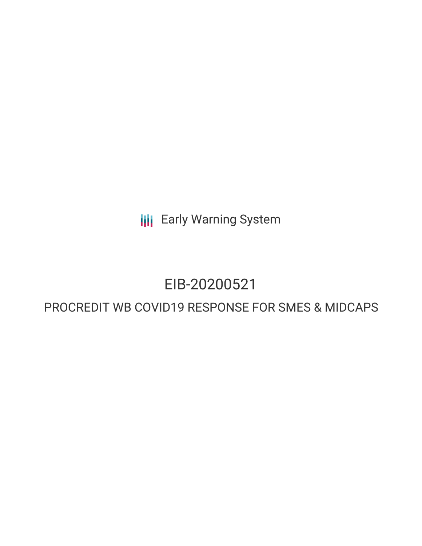**III** Early Warning System

# EIB-20200521

## PROCREDIT WB COVID19 RESPONSE FOR SMES & MIDCAPS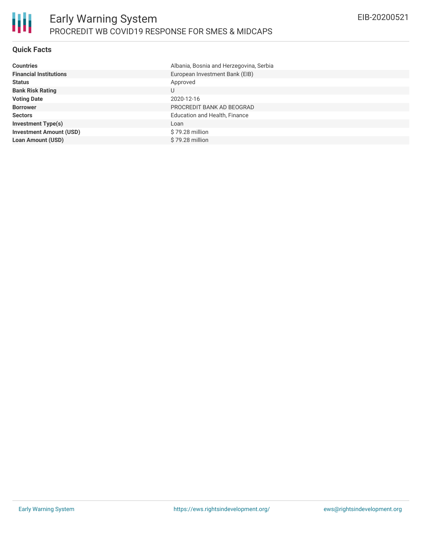#### **Quick Facts**

| <b>Countries</b>               | Albania, Bosnia and Herzegovina, Serbia |
|--------------------------------|-----------------------------------------|
| <b>Financial Institutions</b>  | European Investment Bank (EIB)          |
| <b>Status</b>                  | Approved                                |
| <b>Bank Risk Rating</b>        | U                                       |
| <b>Voting Date</b>             | 2020-12-16                              |
| <b>Borrower</b>                | PROCREDIT BANK AD BEOGRAD               |
| <b>Sectors</b>                 | Education and Health, Finance           |
| <b>Investment Type(s)</b>      | Loan                                    |
| <b>Investment Amount (USD)</b> | \$79.28 million                         |
| <b>Loan Amount (USD)</b>       | \$79.28 million                         |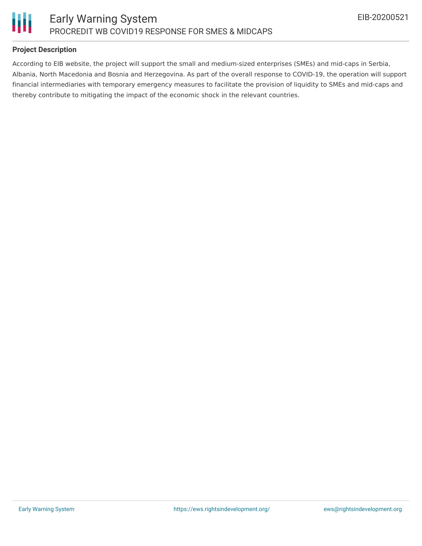



#### **Project Description**

According to EIB website, the project will support the small and medium-sized enterprises (SMEs) and mid-caps in Serbia, Albania, North Macedonia and Bosnia and Herzegovina. As part of the overall response to COVID-19, the operation will support financial intermediaries with temporary emergency measures to facilitate the provision of liquidity to SMEs and mid-caps and thereby contribute to mitigating the impact of the economic shock in the relevant countries.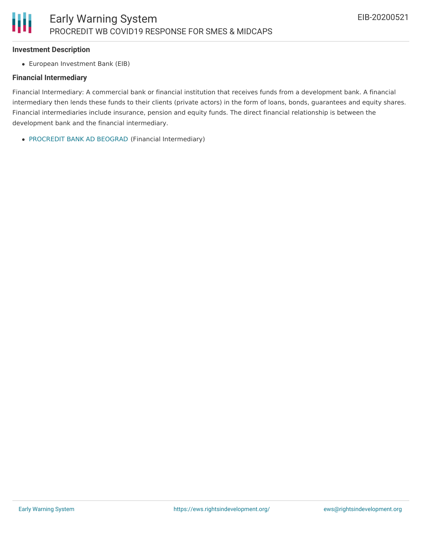#### **Investment Description**

European Investment Bank (EIB)

#### **Financial Intermediary**

Financial Intermediary: A commercial bank or financial institution that receives funds from a development bank. A financial intermediary then lends these funds to their clients (private actors) in the form of loans, bonds, guarantees and equity shares. Financial intermediaries include insurance, pension and equity funds. The direct financial relationship is between the development bank and the financial intermediary.

[PROCREDIT](file:///actor/3385/) BANK AD BEOGRAD (Financial Intermediary)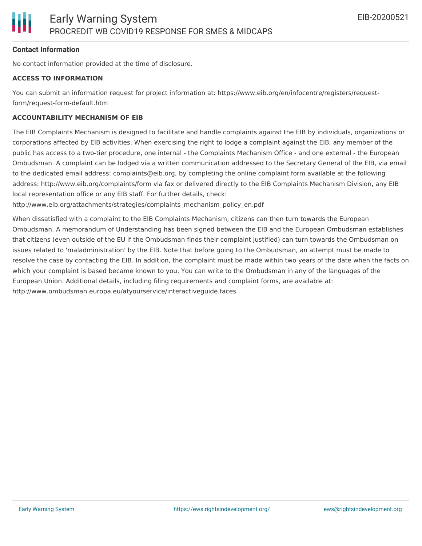#### **Contact Information**

No contact information provided at the time of disclosure.

#### **ACCESS TO INFORMATION**

You can submit an information request for project information at: https://www.eib.org/en/infocentre/registers/requestform/request-form-default.htm

#### **ACCOUNTABILITY MECHANISM OF EIB**

The EIB Complaints Mechanism is designed to facilitate and handle complaints against the EIB by individuals, organizations or corporations affected by EIB activities. When exercising the right to lodge a complaint against the EIB, any member of the public has access to a two-tier procedure, one internal - the Complaints Mechanism Office - and one external - the European Ombudsman. A complaint can be lodged via a written communication addressed to the Secretary General of the EIB, via email to the dedicated email address: complaints@eib.org, by completing the online complaint form available at the following address: http://www.eib.org/complaints/form via fax or delivered directly to the EIB Complaints Mechanism Division, any EIB local representation office or any EIB staff. For further details, check:

http://www.eib.org/attachments/strategies/complaints\_mechanism\_policy\_en.pdf

When dissatisfied with a complaint to the EIB Complaints Mechanism, citizens can then turn towards the European Ombudsman. A memorandum of Understanding has been signed between the EIB and the European Ombudsman establishes that citizens (even outside of the EU if the Ombudsman finds their complaint justified) can turn towards the Ombudsman on issues related to 'maladministration' by the EIB. Note that before going to the Ombudsman, an attempt must be made to resolve the case by contacting the EIB. In addition, the complaint must be made within two years of the date when the facts on which your complaint is based became known to you. You can write to the Ombudsman in any of the languages of the European Union. Additional details, including filing requirements and complaint forms, are available at: http://www.ombudsman.europa.eu/atyourservice/interactiveguide.faces